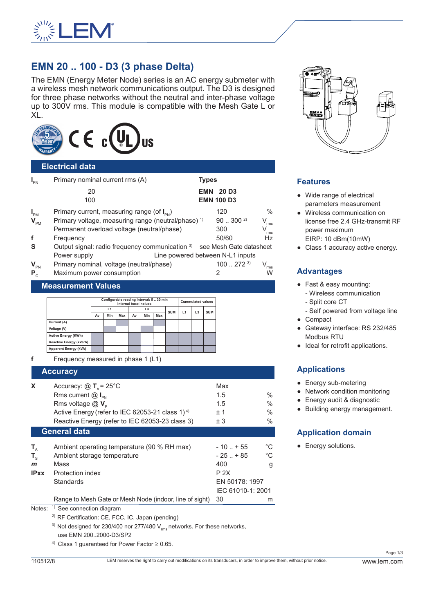

# **EMN 20 .. 100 - D3 (3 phase Delta)**

The EMN (Energy Meter Node) series is an AC energy submeter with a wireless mesh network communications output. The D3 is designed for three phase networks without the neutral and inter-phase voltage up to 300V rms. This module is compatible with the Mesh Gate L or XL.



#### **Electrical data**

| $I_{PN}$                         | Primary nominal current rms (A)                                         | <b>Types</b>      |       |              |                             |  |  |
|----------------------------------|-------------------------------------------------------------------------|-------------------|-------|--------------|-----------------------------|--|--|
|                                  | 20                                                                      | <b>EMN 20 D3</b>  |       |              |                             |  |  |
|                                  | 100                                                                     | <b>EMN 100 D3</b> |       |              |                             |  |  |
| $I_{PM}$                         | Primary current, measuring range (of $I_{\text{av}}$ )                  |                   | 120   |              | $\%$                        |  |  |
| $\mathbf{V}_{\texttt{PM}}$       | Primary voltage, measuring range (neutral/phase) <sup>1)</sup>          |                   |       | $90300^{2}$  | $\mathsf{V}_{\mathsf{rms}}$ |  |  |
|                                  | Permanent overload voltage (neutral/phase)                              |                   | 300   |              | V<br>.<br>rms               |  |  |
| f                                | Frequency                                                               |                   | 50/60 |              | <b>Hz</b>                   |  |  |
| S                                | Output signal: radio frequency communication 3) see Mesh Gate datasheet |                   |       |              |                             |  |  |
|                                  | Line powered between N-L1 inputs<br>Power supply                        |                   |       |              |                             |  |  |
| $\mathbf{V}_{\texttt{\tiny PN}}$ | Primary nominal, voltage (neutral/phase)                                |                   |       | $100272^{3}$ | rms                         |  |  |
| $P_{c}$                          | Maximum power consumption                                               |                   | 2     |              | W                           |  |  |
| <b>Measurement Values</b>        |                                                                         |                   |       |              |                             |  |  |

|                              | Configurable reading interval: 530 min<br>Internal base inclues |     |     |    | <b>Cummulated values</b> |     |            |    |    |            |
|------------------------------|-----------------------------------------------------------------|-----|-----|----|--------------------------|-----|------------|----|----|------------|
|                              | L1                                                              |     |     | L3 |                          |     |            |    |    | <b>SUM</b> |
|                              | Av                                                              | Min | Max | Av | Min                      | Max | <b>SUM</b> | L1 | L3 |            |
| Current (A)                  |                                                                 |     |     |    |                          |     |            |    |    |            |
| Voltage (V)                  |                                                                 |     |     |    |                          |     |            |    |    |            |
| <b>Active Energy (KWh)</b>   |                                                                 |     |     |    |                          |     |            |    |    |            |
| Reactive Energy (kVarh)      |                                                                 |     |     |    |                          |     |            |    |    |            |
| <b>Apparent Energy (kVA)</b> |                                                                 |     |     |    |                          |     |            |    |    |            |

**f** Frequency measured in phase 1 (L1)

#### **Accuracy**

| $\sim$ $\sim$ $\sim$ $\sim$ $\sim$                                                                                                                                                                      |                                                                                                                                                                                                                                                                                                  |                                 |
|---------------------------------------------------------------------------------------------------------------------------------------------------------------------------------------------------------|--------------------------------------------------------------------------------------------------------------------------------------------------------------------------------------------------------------------------------------------------------------------------------------------------|---------------------------------|
| Accuracy: $@T0 = 25^{\circ}C$<br>Rms current $@I_{\text{in}}$<br>Rms voltage $@V_{p}$<br>Active Energy (refer to IEC 62053-21 class 1) <sup>4)</sup><br>Reactive Energy (refer to IEC 62053-23 class 3) | Max<br>1.5<br>1.5<br>±1<br>± 3                                                                                                                                                                                                                                                                   | $\%$<br>$\%$<br>$\%$<br>$\%$    |
| <b>General data</b>                                                                                                                                                                                     |                                                                                                                                                                                                                                                                                                  |                                 |
| Ambient operating temperature (90 % RH max)<br>Ambient storage temperature<br>Mass<br>Protection index<br><b>Standards</b>                                                                              | $-10$ $+55$<br>$-25$ $+85$<br>400<br>P 2X<br>EN 50178: 1997<br>IEC 61010-1: 2001                                                                                                                                                                                                                 | $^{\circ}C$<br>$^{\circ}C$<br>g |
| Range to Mesh Gate or Mesh Node (indoor, line of sight)                                                                                                                                                 | 30                                                                                                                                                                                                                                                                                               | m                               |
|                                                                                                                                                                                                         | $\mathbf{r}$ and $\mathbf{r}$ and $\mathbf{r}$ and $\mathbf{r}$ and $\mathbf{r}$ and $\mathbf{r}$ and $\mathbf{r}$ and $\mathbf{r}$ and $\mathbf{r}$ and $\mathbf{r}$ and $\mathbf{r}$ and $\mathbf{r}$ and $\mathbf{r}$ and $\mathbf{r}$ and $\mathbf{r}$ and $\mathbf{r}$ and $\mathbf{r}$ and |                                 |

Notes: <sup>1)</sup> See connection diagram

2) RF Certification: CE, FCC, IC, Japan (pending)

<sup>3)</sup> Not designed for 230/400 nor 277/480  $V_{rms}$  networks. For these networks, use EMN 200..2000-D3/SP2

<sup>4)</sup> Class 1 guaranteed for Power Factor  $\geq$  0.65.



#### **Features**

- Wide range of electrical parameters measurement
- Wireless communication on license free 2.4 GHz-transmit RF power maximum EIRP: 10 dBm(10mW)
- Class 1 accuracy active energy.

### **Advantages**

- Fast & easy mounting: - Wireless communication
	- Split core CT
- Self powered from voltage line ● Compact
- Gateway interface: RS 232/485 Modbus RTU
- Ideal for retrofit applications.

## **Applications**

- Energy sub-metering
- Network condition monitoring
- Energy audit & diagnostic
- Building energy management.

## **Application domain**

• Energy solutions.

Page 1/3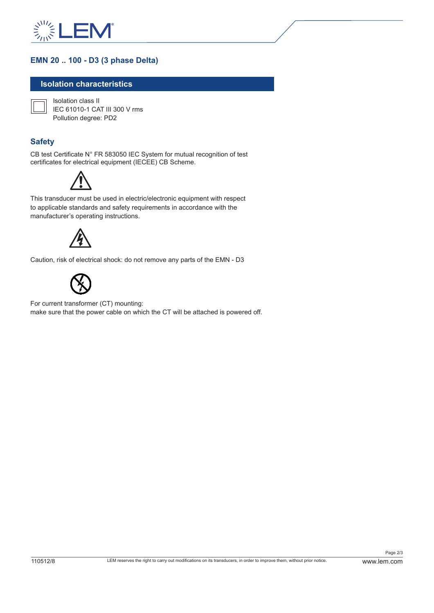

### **EMN 20 .. 100 - D3 (3 phase Delta)**

#### **Isolation characteristics**

Isolation class II IEC 61010-1 CAT III 300 V rms Pollution degree: PD2

#### **Safety**

CB test Certificate N° FR 583050 IEC System for mutual recognition of test certificates for electrical equipment (IECEE) CB Scheme.



This transducer must be used in electric/electronic equipment with respect to applicable standards and safety requirements in accordance with the manufacturer's operating instructions.



Caution, risk of electrical shock: do not remove any parts of the EMN - D3



For current transformer (CT) mounting: make sure that the power cable on which the CT will be attached is powered off.